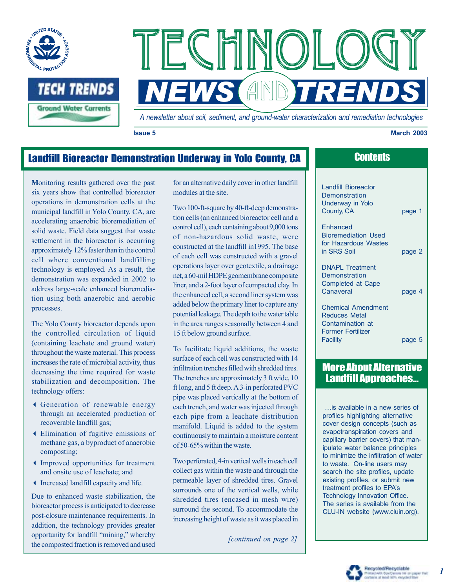



*A newsletter about soil, sediment, and ground-water characterization and remediation technologies* 

#### **Issue 5 March 2003**

page 1

# Landfill Bioreactor Demonstration Underway in Yolo County, CA **Contents**

**M**onitoring results gathered over the past six years show that controlled bioreactor operations in demonstration cells at the municipal landfill in Yolo County, CA, are accelerating anaerobic bioremediation of solid waste. Field data suggest that waste settlement in the bioreactor is occurring approximately 12% faster than in the control cell where conventional landfilling technology is employed. As a result, the demonstration was expanded in 2002 to address large-scale enhanced bioremediation using both anaerobic and aerobic processes.

The Yolo County bioreactor depends upon the controlled circulation of liquid (containing leachate and ground water) throughout the waste material. This process increases the rate of microbial activity, thus decreasing the time required for waste stabilization and decomposition. The technology offers:

- 3 Generation of renewable energy through an accelerated production of recoverable landfill gas;
- 3 Elimination of fugitive emissions of methane gas, a byproduct of anaerobic composting;
- 3 Improved opportunities for treatment and onsite use of leachate; and
- 3 Increased landfill capacity and life.

Due to enhanced waste stabilization, the bioreactor process is anticipated to decrease post-closure maintenance requirements. In addition, the technology provides greater opportunity for landfill "mining," whereby the composted fraction is removed and used for an alternative daily cover in other landfill modules at the site.

Two 100-ft-square by 40-ft-deep demonstration cells (an enhanced bioreactor cell and a control cell), each containing about 9,000 tons of non-hazardous solid waste, were constructed at the landfill in1995. The base of each cell was constructed with a gravel operations layer over geotextile, a drainage net, a 60-mil HDPE geomembrane composite liner, and a 2-foot layer of compacted clay. In the enhanced cell, a second liner system was added below the primary liner to capture any potential leakage. The depth to the water table in the area ranges seasonally between 4 and 15 ft below ground surface.

To facilitate liquid additions, the waste surface of each cell was constructed with 14 infiltration trenches filled with shredded tires. The trenches are approximately 3 ft wide, 10 ft long, and 5 ft deep. A 3-in perforated PVC pipe was placed vertically at the bottom of each trench, and water was injected through each pipe from a leachate distribution manifold. Liquid is added to the system continuously to maintain a moisture content of 50-65% within the waste.

Two perforated, 4-in vertical wells in each cell collect gas within the waste and through the permeable layer of shredded tires. Gravel surrounds one of the vertical wells, while shredded tires (encased in mesh wire) surround the second. To accommodate the increasing height of waste as it was placed in

*[continued on page 2]* 

| Landfill Bioreactor |  |
|---------------------|--|
| Demonstration       |  |
| Underway in Yolo    |  |
| County, CA          |  |
|                     |  |

Enhanced Bioremediation Used for Hazardous Wastes in SRS Soil **page 2** 

DNAPL Treatment **Demonstration** Completed at Cape Canaveral page 4

Chemical Amendment Reduces Metal Contamination at Former Fertilizer Facility **page 5** 

## More About Alternative Landfill Approaches...

…is available in a new series of profiles highlighting alternative cover design concepts (such as evapotranspiration covers and capillary barrier covers) that manipulate water balance principles to minimize the infiltration of water to waste. On-line users may search the site profiles, update existing profiles, or submit new treatment profiles to EPA's Technology Innovation Office. The series is available from the CLU-IN website (www.cluin.org).

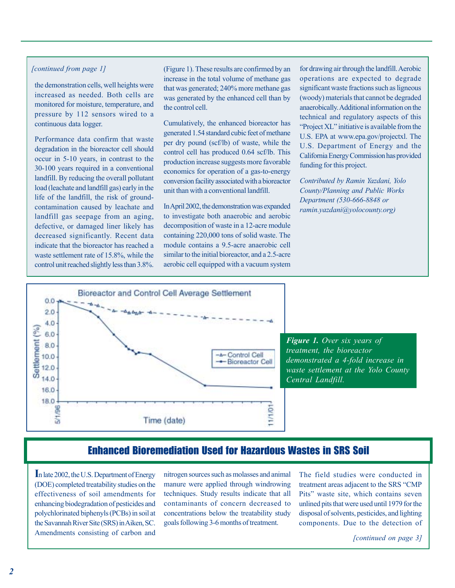### *[continued from page 1]*

the demonstration cells, well heights were increased as needed. Both cells are monitored for moisture, temperature, and pressure by 112 sensors wired to a continuous data logger.

Performance data confirm that waste degradation in the bioreactor cell should occur in 5-10 years, in contrast to the 30-100 years required in a conventional landfill. By reducing the overall pollutant load (leachate and landfill gas) early in the life of the landfill, the risk of groundcontamination caused by leachate and landfill gas seepage from an aging, defective, or damaged liner likely has decreased significantly. Recent data indicate that the bioreactor has reached a waste settlement rate of 15.8%, while the control unit reached slightly less than 3.8%.

(Figure 1). These results are confirmed by an increase in the total volume of methane gas that was generated; 240% more methane gas was generated by the enhanced cell than by the control cell.

Cumulatively, the enhanced bioreactor has generated 1.54 standard cubic feet of methane per dry pound (scf/lb) of waste, while the control cell has produced 0.64 scf/lb. This production increase suggests more favorable economics for operation of a gas-to-energy conversion facility associated with a bioreactor unit than with a conventional landfill.

InApril 2002, the demonstration was expanded to investigate both anaerobic and aerobic decomposition of waste in a 12-acre module containing 220,000 tons of solid waste. The module contains a 9.5-acre anaerobic cell similar to the initial bioreactor, and a 2.5-acre aerobic cell equipped with a vacuum system

for drawing air through the landfill. Aerobic operations are expected to degrade significant waste fractions such as ligneous (woody) materials that cannot be degraded anaerobically.Additional information on the technical and regulatory aspects of this —Project XL" initiative is available from the U.S. EPA at www.epa.gov/projectxl. The U.S. Department of Energy and the California Energy Commission has provided funding for this project.

*Contributed by Ramin Yazdani, Yolo County/Planning and Public Works Department (530-666-8848 or ramin.yazdani@yolocounty.org)* 



*Figure 1. Over six years of treatment, the bioreactor demonstrated a 4-fold increase in waste settlement at the Yolo County Central Landfill.* 

## Enhanced Bioremediation Used for Hazardous Wastes in SRS Soil

**I**n late 2002, the U.S. Department of Energy (DOE) completed treatability studies on the effectiveness of soil amendments for enhancing biodegradation of pesticides and polychlorinated biphenyls (PCBs) in soil at the Savannah River Site (SRS) inAiken, SC. Amendments consisting of carbon and nitrogen sources such as molasses and animal manure were applied through windrowing techniques. Study results indicate that all contaminants of concern decreased to concentrations below the treatability study goals following 3-6 months of treatment.

The field studies were conducted in treatment areas adjacent to the SRS "CMP Pits" waste site, which contains seven unlined pits that were used until 1979 for the disposal of solvents, pesticides, and lighting components. Due to the detection of

*[continued on page 3]*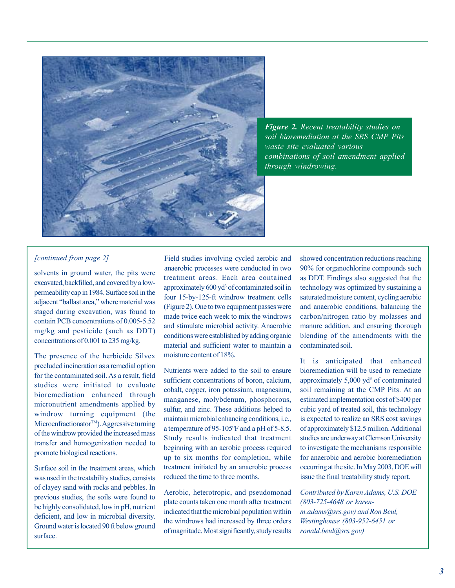

*Figure 2. Recent treatability studies on soil bioremediation at the SRS CMP Pits waste site evaluated various combinations of soil amendment applied through windrowing.* 

The presence of the herbicide Silvex moisture content of 18%. The presence of the heroteic Silvex<br>precluded incineration as a remedial option<br>for the contaminated soil. As a result, field<br>sufficient concentrations of boron, calcium, approximately 5,000 yd<sup>3</sup> of contaminated

of clayey sand with rocks and pebbles. In<br>previous studies, the soils were found to<br>be highly consolidated, low in pH, nutrient<br>deficient, and low in microbial diversity.<br>deficient, and low in microbial diversity.<br>Ground w

solvents in ground water, the pits were<br>exavated, backfilled, and covered by a low-<br>permeability cap in 1984. Surface soil in the<br>permeability cap in 1984. Surface soil in the exercised, backmed, and evolved by a low<br>
approximately 600 yd<sup>3</sup> of contaminated soil in<br>
adjacent "ballast area," where material was<br>
staged during excavation, was found to<br>
staged during excavation, was found to<br>
contai

For the condumnated son.75 a result, heat<br>studies were initiated to evaluate solution<br>to evaluate and through cobalt, copper, iron potassium, magnesium, soil remaining at the CMP Pits. At an<br>bioremediation enhanced through Surface soil in the treatment areas, which treatment initiated by an anaerobic process occurring at the site. In May 2003, DOE will was used in the treatability studies, consists reduced the time to three months. issue the final treatability study report.

*[continued from page 2]* Field studies involving cycled aerobic and showed concentration reductions reaching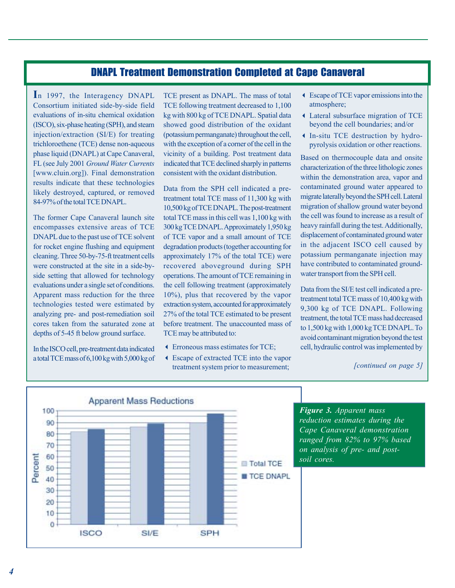## DNAPL Treatment Demonstration Completed at Cape Canaveral

**I**n 1997, the Interagency DNAPL Consortium initiated side-by-side field evaluations of in-situ chemical oxidation (ISCO), six-phase heating (SPH), and steam injection/extraction (SI/E) for treating trichloroethene (TCE) dense non-aqueous phase liquid (DNAPL) at Cape Canaveral, FL (see July 2001 *Ground Water Currents*  [www.cluin.org]). Final demonstration results indicate that these technologies likely destroyed, captured, or removed 84-97% of the total TCE DNAPL.

The former Cape Canaveral launch site encompasses extensive areas of TCE DNAPL due to the past use of TCE solvent for rocket engine flushing and equipment cleaning. Three 50-by-75-ft treatment cells were constructed at the site in a side-byside setting that allowed for technology evaluations under a single set of conditions. Apparent mass reduction for the three technologies tested were estimated by analyzing pre- and post-remediation soil cores taken from the saturated zone at depths of 5-45 ft below ground surface.

In the ISCO cell, pre-treatment data indicated a total TCE mass of 6,100 kg with 5,000 kg of TCE present as DNAPL. The mass of total TCE following treatment decreased to 1,100 kg with 800 kg of TCE DNAPL. Spatial data showed good distribution of the oxidant (potassium permanganate) throughout the cell, with the exception of a corner of the cell in the vicinity of a building. Post treatment data indicated that TCE declined sharply in patterns consistent with the oxidant distribution.

Data from the SPH cell indicated a pretreatment total TCE mass of 11,300 kg with 10,500 kg of TCE DNAPL. The post-treatment total TCE mass in this cell was 1,100 kg with 300 kg TCE DNAPL.Approximately 1,950 kg of TCE vapor and a small amount of TCE degradation products (together accounting for approximately 17% of the total TCE) were recovered aboveground during SPH operations. The amount of TCE remaining in the cell following treatment (approximately 10%), plus that recovered by the vapor extraction system, accounted for approximately 27% of the total TCE estimated to be present before treatment. The unaccounted mass of TCE may be attributed to:

- 3 Erroneous mass estimates for TCE;
- 3 Escape of extracted TCE into the vapor treatment system prior to measurement;
- 3 Escape of TCE vapor emissions into the atmosphere;
- 3 Lateral subsurface migration of TCE beyond the cell boundaries; and/or
- 3 In-situ TCE destruction by hydropyrolysis oxidation or other reactions.

Based on thermocouple data and onsite characterization of the three lithologic zones within the demonstration area, vapor and contaminated ground water appeared to migrate laterally beyond the SPH cell. Lateral migration of shallow ground water beyond the cell was found to increase as a result of heavy rainfall during the test. Additionally, displacement of contaminated ground water in the adjacent ISCO cell caused by potassium permanganate injection may have contributed to contaminated groundwater transport from the SPH cell.

Data from the SI/E test cell indicated a pretreatment total TCE mass of 10,400 kg with 9,300 kg of TCE DNAPL. Following treatment, the total TCE mass had decreased to 1,500 kg with 1,000 kg TCE DNAPL. To avoid contaminant migration beyond the test cell, hydraulic control was implemented by

*[continued on page 5]* 



*Figure 3. Apparent mass reduction estimates during the Cape Canaveral demonstration ranged from 82% to 97% based on analysis of pre- and postsoil cores.*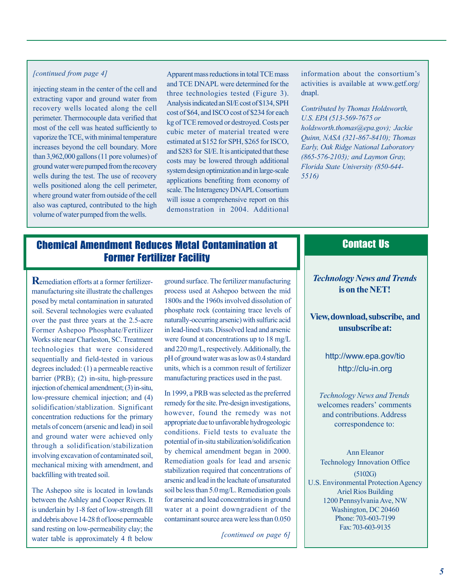### *[continued from page 4]*

injecting steam in the center of the cell and extracting vapor and ground water from recovery wells located along the cell perimeter. Thermocouple data verified that most of the cell was heated sufficiently to vaporize the TCE, with minimal temperature increases beyond the cell boundary. More than 3,962,000 gallons (11 pore volumes) of ground water were pumped from the recovery wells during the test. The use of recovery wells positioned along the cell perimeter, where ground water from outside of the cell also was captured, contributed to the high volume of water pumped from the wells.

Apparent mass reductions in total TCE mass and TCE DNAPL were determined for the three technologies tested (Figure 3). Analysis indicated an SI/E cost of \$134, SPH cost of \$64, and ISCO cost of \$234 for each kg of TCE removed or destroyed. Costs per cubic meter of material treated were estimated at \$152 for SPH, \$265 for ISCO, and \$283 for SI/E. It is anticipated that these costs may be lowered through additional system design optimization and in large-scale applications benefiting from economy of scale. The Interagency DNAPL Consortium will issue a comprehensive report on this demonstration in 2004. Additional

information about the consortium's activities is available at www.getf.org/ dnapl.

*Contributed by Thomas Holdsworth, U.S. EPA (513-569-7675 or holdsworth.thomas@epa.gov); Jackie Quinn, NASA (321-867-8410); Thomas Early, Oak Ridge National Laboratory (865-576-2103); and Laymon Gray, Florida State University (850-644- 5516)* 

# Chemical Amendment Reduces Metal Contamination at Former Fertilizer Facility

**R**emediation efforts at a former fertilizermanufacturing site illustrate the challenges posed by metal contamination in saturated soil. Several technologies were evaluated over the past three years at the 2.5-acre Former Ashepoo Phosphate/Fertilizer Works site near Charleston, SC. Treatment technologies that were considered sequentially and field-tested in various degrees included: (1) a permeable reactive barrier (PRB); (2) in-situ, high-pressure injection of chemical amendment; (3) in-situ, low-pressure chemical injection; and (4) solidification/stablization. Significant concentration reductions for the primary metals of concern (arsenic and lead) in soil and ground water were achieved only through a solidification/stabilization involving excavation of contaminated soil, mechanical mixing with amendment, and backfilling with treated soil.

The Ashepoo site is located in lowlands between the Ashley and Cooper Rivers. It is underlain by 1-8 feet of low-strength fill and debris above 14-28 ft of loose permeable sand resting on low-permeability clay; the water table is approximately 4 ft below

ground surface. The fertilizer manufacturing process used at Ashepoo between the mid 1800s and the 1960s involved dissolution of phosphate rock (containing trace levels of naturally-occurring arsenic) with sulfuric acid in lead-lined vats. Dissolved lead and arsenic were found at concentrations up to 18 mg/L and 220 mg/L, respectively. Additionally, the pH of ground water was as low as 0.4 standard units, which is a common result of fertilizer manufacturing practices used in the past.

In 1999, a PRB was selected as the preferred remedy for the site. Pre-design investigations, however, found the remedy was not appropriate due to unfavorable hydrogeologic conditions. Field tests to evaluate the potential of in-situ stabilization/solidification by chemical amendment began in 2000. Remediation goals for lead and arsenic stabilization required that concentrations of arsenic and lead in the leachate of unsaturated soil be less than 5.0 mg/L. Remediation goals for arsenic and lead concentrations in ground water at a point downgradient of the contaminant source area were less than 0.050

*[continued on page 6]* 

### Contact Us

## *Technology News and Trends*  **is on the NET!**

**View, download, subscribe, and unsubscribe at:** 

> <http://www.epa.gov/tio> <http://clu-in.org>

*Technology News and Trends*  welcomes readers' comments and contributions. Address correspondence to:

Ann Eleanor Technology Innovation Office

(5102G) U.S. Environmental Protection Agency Ariel Rios Building 1200 Pennsylvania Ave, NW Washington, DC 20460 Phone: 703-603-7199 Fax: 703-603-9135